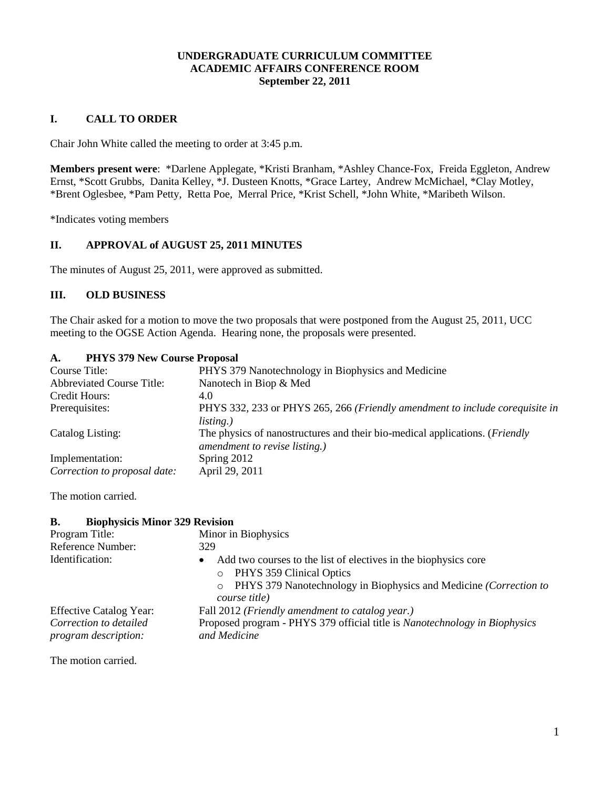# **UNDERGRADUATE CURRICULUM COMMITTEE ACADEMIC AFFAIRS CONFERENCE ROOM September 22, 2011**

## **I. CALL TO ORDER**

Chair John White called the meeting to order at 3:45 p.m.

**Members present were**: \*Darlene Applegate, \*Kristi Branham, \*Ashley Chance-Fox, Freida Eggleton, Andrew Ernst, \*Scott Grubbs, Danita Kelley, \*J. Dusteen Knotts, \*Grace Lartey, Andrew McMichael, \*Clay Motley, \*Brent Oglesbee, \*Pam Petty, Retta Poe, Merral Price, \*Krist Schell, \*John White, \*Maribeth Wilson.

\*Indicates voting members

# **II. APPROVAL of AUGUST 25, 2011 MINUTES**

The minutes of August 25, 2011, were approved as submitted.

# **III. OLD BUSINESS**

The Chair asked for a motion to move the two proposals that were postponed from the August 25, 2011, UCC meeting to the OGSE Action Agenda. Hearing none, the proposals were presented.

# **A. PHYS 379 New Course Proposal**

| $\blacksquare$<br><b>THEO SISTRA COULSCITOPOSAL</b> |                                                                                                                      |
|-----------------------------------------------------|----------------------------------------------------------------------------------------------------------------------|
| Course Title:                                       | PHYS 379 Nanotechnology in Biophysics and Medicine                                                                   |
| <b>Abbreviated Course Title:</b>                    | Nanotech in Biop & Med                                                                                               |
| Credit Hours:                                       | 4.0                                                                                                                  |
| Prerequisites:                                      | PHYS 332, 233 or PHYS 265, 266 (Friendly amendment to include corequisite in<br><i>listing.</i> )                    |
| Catalog Listing:                                    | The physics of nanostructures and their bio-medical applications. ( <i>Friendly</i><br>amendment to revise listing.) |
| Implementation:                                     | Spring 2012                                                                                                          |
| Correction to proposal date:                        | April 29, 2011                                                                                                       |

The motion carried.

### **B. Biophysicis Minor 329 Revision**

| Program Title:                 | Minor in Biophysics                                                                                                                                                                        |
|--------------------------------|--------------------------------------------------------------------------------------------------------------------------------------------------------------------------------------------|
| Reference Number:              | 329                                                                                                                                                                                        |
| Identification:                | Add two courses to the list of electives in the biophysics core<br>٠<br>o PHYS 359 Clinical Optics<br>o PHYS 379 Nanotechnology in Biophysics and Medicine (Correction to<br>course title) |
| <b>Effective Catalog Year:</b> | Fall 2012 (Friendly amendment to catalog year.)                                                                                                                                            |
| Correction to detailed         | Proposed program - PHYS 379 official title is Nanotechnology in Biophysics                                                                                                                 |
| program description:           | and Medicine                                                                                                                                                                               |

The motion carried.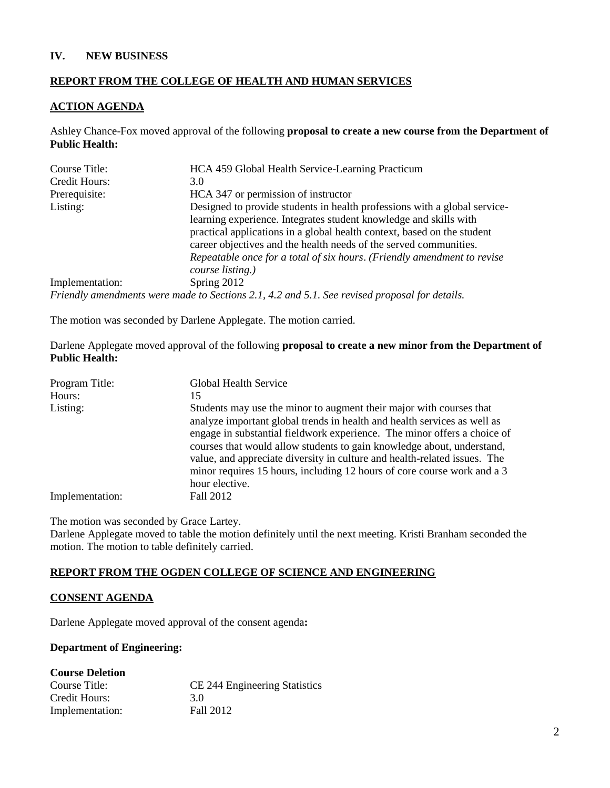#### **IV. NEW BUSINESS**

## **REPORT FROM THE COLLEGE OF HEALTH AND HUMAN SERVICES**

#### **ACTION AGENDA**

Ashley Chance-Fox moved approval of the following **proposal to create a new course from the Department of Public Health:**

| Course Title:   | HCA 459 Global Health Service-Learning Practicum                                                                                                                                                                                                                                                                                                                                              |
|-----------------|-----------------------------------------------------------------------------------------------------------------------------------------------------------------------------------------------------------------------------------------------------------------------------------------------------------------------------------------------------------------------------------------------|
| Credit Hours:   | 3.0                                                                                                                                                                                                                                                                                                                                                                                           |
| Prerequisite:   | HCA 347 or permission of instructor                                                                                                                                                                                                                                                                                                                                                           |
| Listing:        | Designed to provide students in health professions with a global service-<br>learning experience. Integrates student knowledge and skills with<br>practical applications in a global health context, based on the student<br>career objectives and the health needs of the served communities.<br>Repeatable once for a total of six hours. (Friendly amendment to revise<br>course listing.) |
| Implementation: | Spring 2012                                                                                                                                                                                                                                                                                                                                                                                   |
|                 | Friendly amendments were made to Sections 2.1, 4.2 and 5.1. See revised proposal for details.                                                                                                                                                                                                                                                                                                 |

The motion was seconded by Darlene Applegate. The motion carried.

Darlene Applegate moved approval of the following **proposal to create a new minor from the Department of Public Health:**

| Program Title:  | Global Health Service                                                                                                                                                                                                                                                                                                                                                                                                                                                           |
|-----------------|---------------------------------------------------------------------------------------------------------------------------------------------------------------------------------------------------------------------------------------------------------------------------------------------------------------------------------------------------------------------------------------------------------------------------------------------------------------------------------|
| Hours:          | 15                                                                                                                                                                                                                                                                                                                                                                                                                                                                              |
| Listing:        | Students may use the minor to augment their major with courses that<br>analyze important global trends in health and health services as well as<br>engage in substantial fieldwork experience. The minor offers a choice of<br>courses that would allow students to gain knowledge about, understand,<br>value, and appreciate diversity in culture and health-related issues. The<br>minor requires 15 hours, including 12 hours of core course work and a 3<br>hour elective. |
| Implementation: | Fall 2012                                                                                                                                                                                                                                                                                                                                                                                                                                                                       |

The motion was seconded by Grace Lartey.

Darlene Applegate moved to table the motion definitely until the next meeting. Kristi Branham seconded the motion. The motion to table definitely carried.

#### **REPORT FROM THE OGDEN COLLEGE OF SCIENCE AND ENGINEERING**

#### **CONSENT AGENDA**

Darlene Applegate moved approval of the consent agenda**:**

#### **Department of Engineering:**

| <b>Course Deletion</b> |                               |
|------------------------|-------------------------------|
| Course Title:          | CE 244 Engineering Statistics |
| Credit Hours:          | 3 O                           |
| Implementation:        | Fall 2012                     |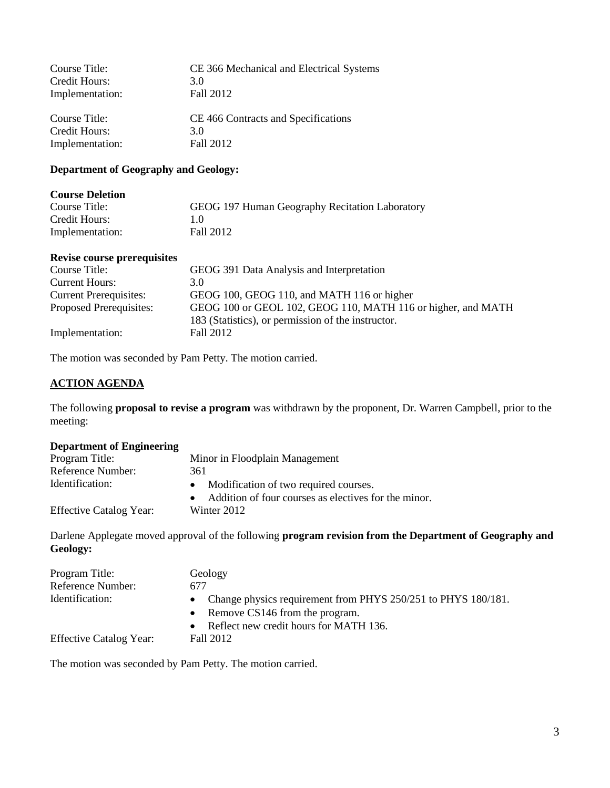| Course Title:   | CE 366 Mechanical and Electrical Systems |
|-----------------|------------------------------------------|
| Credit Hours:   | 3.0                                      |
| Implementation: | Fall 2012                                |
|                 |                                          |
| Course Title:   | CE 466 Contracts and Specifications      |
| Credit Hours:   | 3.0                                      |
| Implementation: | Fall 2012                                |

## **Department of Geography and Geology:**

| <b>Course Deletion</b> |                                                |
|------------------------|------------------------------------------------|
| Course Title:          | GEOG 197 Human Geography Recitation Laboratory |
| Credit Hours:          | 10                                             |
| Implementation:        | Fall 2012                                      |

## **Revise course prerequisites**

| Course Title:                 | GEOG 391 Data Analysis and Interpretation                                                                          |
|-------------------------------|--------------------------------------------------------------------------------------------------------------------|
| <b>Current Hours:</b>         | 3.0                                                                                                                |
| <b>Current Prerequisites:</b> | GEOG 100, GEOG 110, and MATH 116 or higher                                                                         |
| Proposed Prerequisites:       | GEOG 100 or GEOL 102, GEOG 110, MATH 116 or higher, and MATH<br>183 (Statistics), or permission of the instructor. |
| Implementation:               | Fall 2012                                                                                                          |

The motion was seconded by Pam Petty. The motion carried.

#### **ACTION AGENDA**

The following **proposal to revise a program** was withdrawn by the proponent, Dr. Warren Campbell, prior to the meeting:

### **Department of Engineering**

| Program Title:                 | Minor in Floodplain Management                         |
|--------------------------------|--------------------------------------------------------|
| Reference Number:              | 361                                                    |
| Identification:                | Modification of two required courses.                  |
|                                | • Addition of four courses as electives for the minor. |
| <b>Effective Catalog Year:</b> | Winter 2012                                            |

Darlene Applegate moved approval of the following **program revision from the Department of Geography and Geology:**

| Program Title:<br>Reference Number: | Geology<br>677                                                                                                            |
|-------------------------------------|---------------------------------------------------------------------------------------------------------------------------|
| Identification:                     | Change physics requirement from PHYS 250/251 to PHYS 180/181.<br>$\bullet$<br>Remove CS146 from the program.<br>$\bullet$ |
| <b>Effective Catalog Year:</b>      | Reflect new credit hours for MATH 136.<br>$\bullet$<br>Fall 2012                                                          |

The motion was seconded by Pam Petty. The motion carried.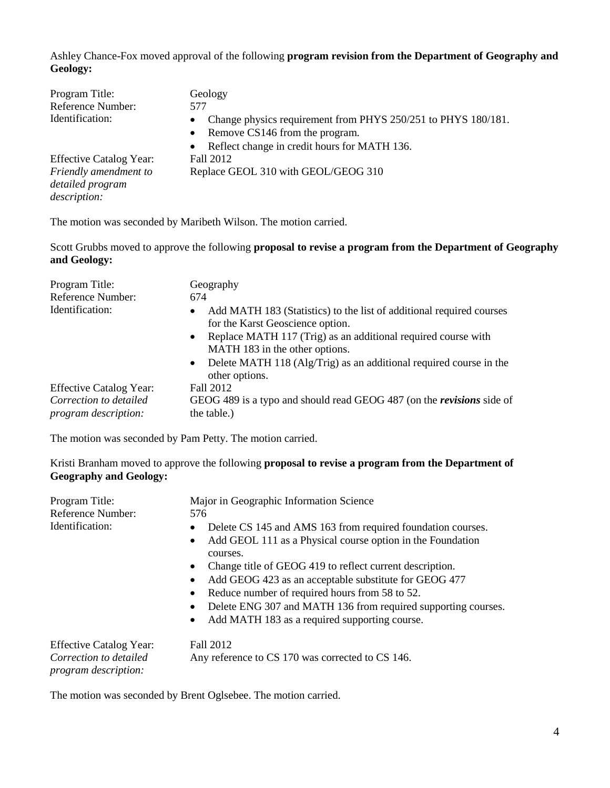Ashley Chance-Fox moved approval of the following **program revision from the Department of Geography and Geology:**

| Program Title:<br>Reference Number:<br>Identification: | Geology<br>577<br>Change physics requirement from PHYS 250/251 to PHYS 180/181.<br>$\bullet$ |
|--------------------------------------------------------|----------------------------------------------------------------------------------------------|
|                                                        | Remove CS146 from the program.<br>$\bullet$                                                  |
|                                                        | Reflect change in credit hours for MATH 136.<br>$\bullet$                                    |
| <b>Effective Catalog Year:</b>                         | Fall 2012                                                                                    |
| Friendly amendment to                                  | Replace GEOL 310 with GEOL/GEOG 310                                                          |
| detailed program                                       |                                                                                              |
| description:                                           |                                                                                              |

The motion was seconded by Maribeth Wilson. The motion carried.

Scott Grubbs moved to approve the following **proposal to revise a program from the Department of Geography and Geology:**

| Program Title:                                 | Geography                                                                                                             |
|------------------------------------------------|-----------------------------------------------------------------------------------------------------------------------|
| Reference Number:                              | 674                                                                                                                   |
| Identification:                                | Add MATH 183 (Statistics) to the list of additional required courses<br>$\bullet$<br>for the Karst Geoscience option. |
|                                                | Replace MATH 117 (Trig) as an additional required course with<br>$\bullet$<br>MATH 183 in the other options.          |
|                                                | Delete MATH 118 (Alg/Trig) as an additional required course in the<br>$\bullet$<br>other options.                     |
| <b>Effective Catalog Year:</b>                 | Fall 2012                                                                                                             |
| Correction to detailed<br>program description: | GEOG 489 is a typo and should read GEOG 487 (on the <i>revisions</i> side of<br>the table.)                           |

The motion was seconded by Pam Petty. The motion carried.

Kristi Branham moved to approve the following **proposal to revise a program from the Department of Geography and Geology:**

| Program Title:                                                                   | Major in Geographic Information Science                                                                                                                                                                                                                                                                                                                                                                                                                                                                   |  |
|----------------------------------------------------------------------------------|-----------------------------------------------------------------------------------------------------------------------------------------------------------------------------------------------------------------------------------------------------------------------------------------------------------------------------------------------------------------------------------------------------------------------------------------------------------------------------------------------------------|--|
| Reference Number:                                                                | 576                                                                                                                                                                                                                                                                                                                                                                                                                                                                                                       |  |
| Identification:                                                                  | Delete CS 145 and AMS 163 from required foundation courses.<br>$\bullet$<br>Add GEOL 111 as a Physical course option in the Foundation<br>$\bullet$<br>courses.<br>Change title of GEOG 419 to reflect current description.<br>$\bullet$<br>Add GEOG 423 as an acceptable substitute for GEOG 477<br>٠<br>Reduce number of required hours from 58 to 52.<br>٠<br>Delete ENG 307 and MATH 136 from required supporting courses.<br>$\bullet$<br>Add MATH 183 as a required supporting course.<br>$\bullet$ |  |
| <b>Effective Catalog Year:</b><br>Correction to detailed<br>program description: | Fall 2012<br>Any reference to CS 170 was corrected to CS 146.                                                                                                                                                                                                                                                                                                                                                                                                                                             |  |

The motion was seconded by Brent Oglsebee. The motion carried.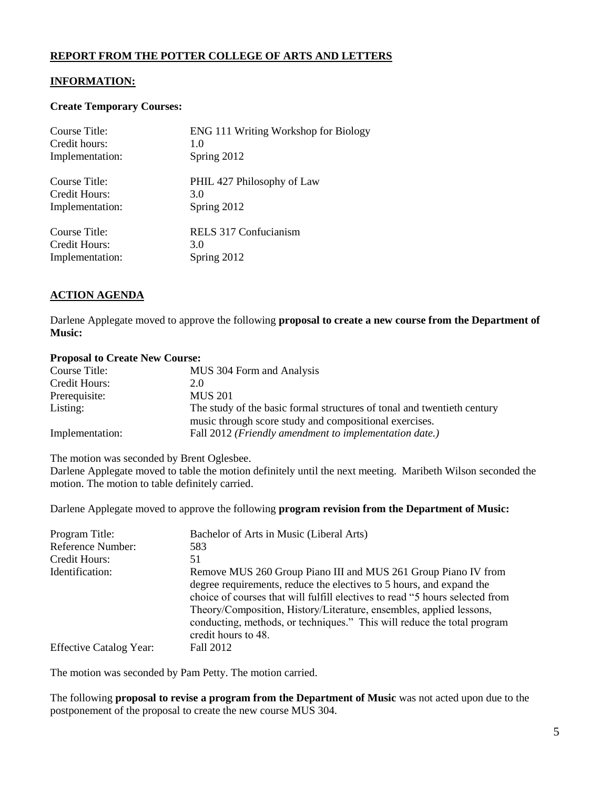# **REPORT FROM THE POTTER COLLEGE OF ARTS AND LETTERS**

## **INFORMATION:**

#### **Create Temporary Courses:**

| Course Title:   | <b>ENG 111 Writing Workshop for Biology</b> |
|-----------------|---------------------------------------------|
| Credit hours:   | 1.0                                         |
| Implementation: | Spring 2012                                 |
| Course Title:   | PHIL 427 Philosophy of Law                  |
| Credit Hours:   | 3.0                                         |
| Implementation: | Spring 2012                                 |
| Course Title:   | RELS 317 Confucianism                       |
| Credit Hours:   | 3.0                                         |
| Implementation: | Spring 2012                                 |

## **ACTION AGENDA**

Darlene Applegate moved to approve the following **proposal to create a new course from the Department of Music:**

#### **Proposal to Create New Course:**

| Course Title:   | MUS 304 Form and Analysis                                               |
|-----------------|-------------------------------------------------------------------------|
| Credit Hours:   | 2.0                                                                     |
| Prerequisite:   | <b>MUS 201</b>                                                          |
| Listing:        | The study of the basic formal structures of tonal and twentieth century |
|                 | music through score study and compositional exercises.                  |
| Implementation: | Fall 2012 ( <i>Friendly amendment to implementation date.</i> )         |
|                 |                                                                         |

The motion was seconded by Brent Oglesbee.

Darlene Applegate moved to table the motion definitely until the next meeting. Maribeth Wilson seconded the motion. The motion to table definitely carried.

Darlene Applegate moved to approve the following **program revision from the Department of Music:**

| Program Title:<br>Reference Number:<br>Credit Hours: | Bachelor of Arts in Music (Liberal Arts)<br>583<br>51                                                                                                                                                                                                                                                                         |
|------------------------------------------------------|-------------------------------------------------------------------------------------------------------------------------------------------------------------------------------------------------------------------------------------------------------------------------------------------------------------------------------|
| Identification:                                      | Remove MUS 260 Group Piano III and MUS 261 Group Piano IV from                                                                                                                                                                                                                                                                |
|                                                      | degree requirements, reduce the electives to 5 hours, and expand the<br>choice of courses that will fulfill electives to read "5 hours selected from<br>Theory/Composition, History/Literature, ensembles, applied lessons,<br>conducting, methods, or techniques." This will reduce the total program<br>credit hours to 48. |
| <b>Effective Catalog Year:</b>                       | Fall 2012                                                                                                                                                                                                                                                                                                                     |

The motion was seconded by Pam Petty. The motion carried.

The following **proposal to revise a program from the Department of Music** was not acted upon due to the postponement of the proposal to create the new course MUS 304.